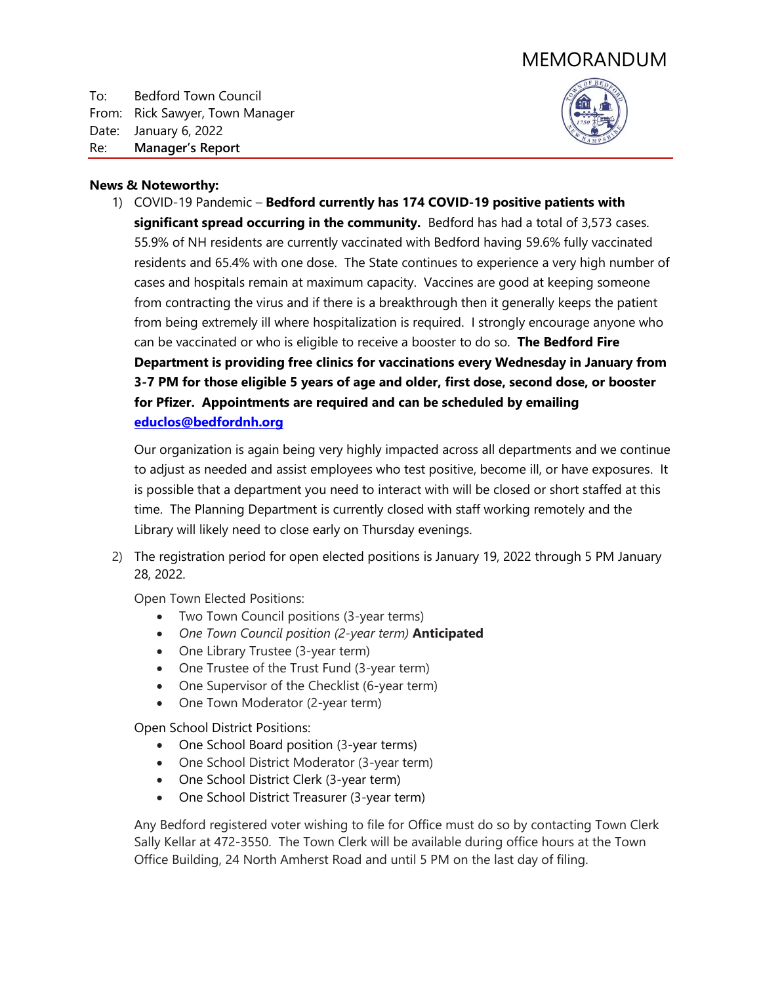## MEMORANDUM

To: Bedford Town Council From: Rick Sawyer, Town Manager Date: January 6, 2022 Re: **Manager's Report**



## **News & Noteworthy:**

1) COVID-19 Pandemic – **Bedford currently has 174 COVID-19 positive patients with significant spread occurring in the community.** Bedford has had a total of 3,573 cases. 55.9% of NH residents are currently vaccinated with Bedford having 59.6% fully vaccinated residents and 65.4% with one dose. The State continues to experience a very high number of cases and hospitals remain at maximum capacity. Vaccines are good at keeping someone from contracting the virus and if there is a breakthrough then it generally keeps the patient from being extremely ill where hospitalization is required. I strongly encourage anyone who can be vaccinated or who is eligible to receive a booster to do so. **The Bedford Fire Department is providing free clinics for vaccinations every Wednesday in January from 3-7 PM for those eligible 5 years of age and older, first dose, second dose, or booster for Pfizer. Appointments are required and can be scheduled by emailing [educlos@bedfordnh.org](mailto:educlos@bedfordnh.org)**

Our organization is again being very highly impacted across all departments and we continue to adjust as needed and assist employees who test positive, become ill, or have exposures. It is possible that a department you need to interact with will be closed or short staffed at this time. The Planning Department is currently closed with staff working remotely and the Library will likely need to close early on Thursday evenings.

2) The registration period for open elected positions is January 19, 2022 through 5 PM January 28, 2022.

Open Town Elected Positions:

- Two Town Council positions (3-year terms)
- *One Town Council position (2-year term)* **Anticipated**
- One Library Trustee (3-year term)
- One Trustee of the Trust Fund (3-year term)
- One Supervisor of the Checklist (6-year term)
- One Town Moderator (2-year term)

Open School District Positions:

- One School Board position (3-year terms)
- One School District Moderator (3-year term)
- One School District Clerk (3-year term)
- One School District Treasurer (3-year term)

Any Bedford registered voter wishing to file for Office must do so by contacting Town Clerk Sally Kellar at 472-3550. The Town Clerk will be available during office hours at the Town Office Building, 24 North Amherst Road and until 5 PM on the last day of filing.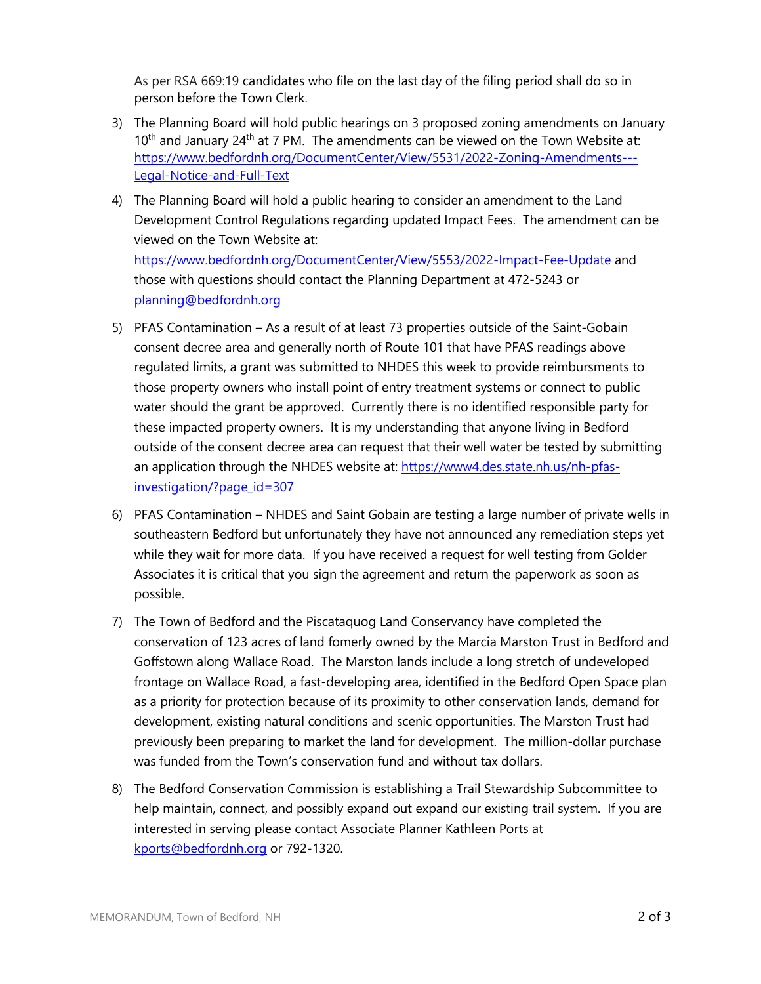As per RSA 669:19 candidates who file on the last day of the filing period shall do so in person before the Town Clerk.

- 3) The Planning Board will hold public hearings on 3 proposed zoning amendments on January 10<sup>th</sup> and January 24<sup>th</sup> at 7 PM. The amendments can be viewed on the Town Website at: [https://www.bedfordnh.org/DocumentCenter/View/5531/2022-Zoning-Amendments---](https://www.bedfordnh.org/DocumentCenter/View/5531/2022-Zoning-Amendments---Legal-Notice-and-Full-Text) [Legal-Notice-and-Full-Text](https://www.bedfordnh.org/DocumentCenter/View/5531/2022-Zoning-Amendments---Legal-Notice-and-Full-Text)
- 4) The Planning Board will hold a public hearing to consider an amendment to the Land Development Control Regulations regarding updated Impact Fees. The amendment can be viewed on the Town Website at: <https://www.bedfordnh.org/DocumentCenter/View/5553/2022-Impact-Fee-Update> and those with questions should contact the Planning Department at 472-5243 or [planning@bedfordnh.org](mailto:planning@bedfordnh.org)
- 5) PFAS Contamination As a result of at least 73 properties outside of the Saint-Gobain consent decree area and generally north of Route 101 that have PFAS readings above regulated limits, a grant was submitted to NHDES this week to provide reimbursments to those property owners who install point of entry treatment systems or connect to public water should the grant be approved. Currently there is no identified responsible party for these impacted property owners. It is my understanding that anyone living in Bedford outside of the consent decree area can request that their well water be tested by submitting an application through the NHDES website at: [https://www4.des.state.nh.us/nh-pfas](https://www4.des.state.nh.us/nh-pfas-investigation/?page_id=307)[investigation/?page\\_id=307](https://www4.des.state.nh.us/nh-pfas-investigation/?page_id=307)
- 6) PFAS Contamination NHDES and Saint Gobain are testing a large number of private wells in southeastern Bedford but unfortunately they have not announced any remediation steps yet while they wait for more data. If you have received a request for well testing from Golder Associates it is critical that you sign the agreement and return the paperwork as soon as possible.
- 7) The Town of Bedford and the Piscataquog Land Conservancy have completed the conservation of 123 acres of land fomerly owned by the Marcia Marston Trust in Bedford and Goffstown along Wallace Road. The Marston lands include a long stretch of undeveloped frontage on Wallace Road, a fast-developing area, identified in the Bedford Open Space plan as a priority for protection because of its proximity to other conservation lands, demand for development, existing natural conditions and scenic opportunities. The Marston Trust had previously been preparing to market the land for development. The million-dollar purchase was funded from the Town's conservation fund and without tax dollars.
- 8) The Bedford Conservation Commission is establishing a Trail Stewardship Subcommittee to help maintain, connect, and possibly expand out expand our existing trail system. If you are interested in serving please contact Associate Planner Kathleen Ports at [kports@bedfordnh.org](mailto:kports@bedfordnh.org) or 792-1320.